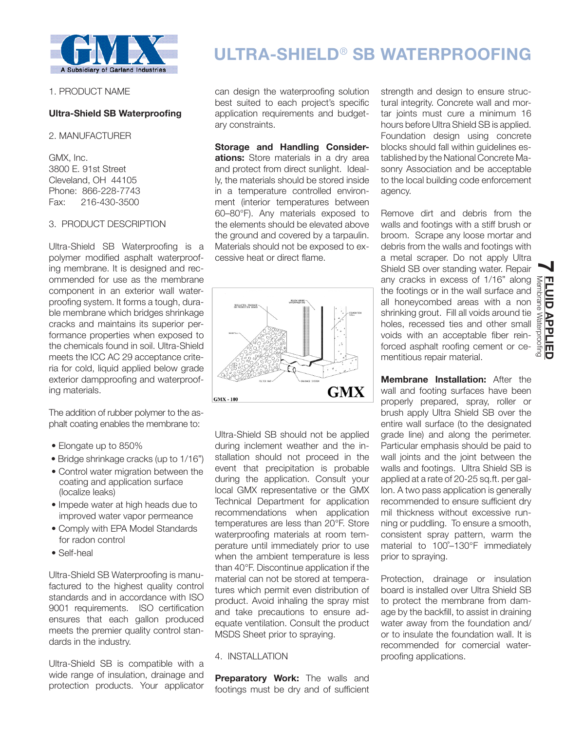

1. PRODUCT NAME

## **Ultra-Shield SB Waterproofing**

### 2. MANUFACTURER

GMX, Inc. 3800 E. 91st Street Cleveland, OH 44105 Phone: 866-228-7743 Fax: 216-430-3500

## 3. PRODUCT DESCRIPTION

Ultra-Shield SB Waterproofing is a polymer modified asphalt waterproofing membrane. It is designed and recommended for use as the membrane component in an exterior wall waterproofing system. It forms a tough, durable membrane which bridges shrinkage cracks and maintains its superior performance properties when exposed to the chemicals found in soil. Ultra-Shield meets the ICC AC 29 acceptance criteria for cold, liquid applied below grade exterior dampproofing and waterproofing materials.

The addition of rubber polymer to the asphalt coating enables the membrane to:

- Elongate up to 850%
- Bridge shrinkage cracks (up to 1/16")
- Control water migration between the coating and application surface (localize leaks)
- Impede water at high heads due to improved water vapor permeance
- Comply with EPA Model Standards for radon control
- Self-heal

Ultra-Shield SB Waterproofing is manufactured to the highest quality control standards and in accordance with ISO 9001 requirements. ISO certification ensures that each gallon produced meets the premier quality control standards in the industry.

Ultra-Shield SB is compatible with a wide range of insulation, drainage and protection products. Your applicator

# **ULTRA-SHIELD**® **SB WATERPROOFING**

can design the waterproofing solution best suited to each project's specific application requirements and budgetary constraints.

**Storage and Handling Considerations:** Store materials in a dry area and protect from direct sunlight. Ideally, the materials should be stored inside in a temperature controlled environment (interior temperatures between 60–80°F). Any materials exposed to the elements should be elevated above the ground and covered by a tarpaulin. Materials should not be exposed to excessive heat or direct flame.



Ultra-Shield SB should not be applied during inclement weather and the installation should not proceed in the event that precipitation is probable during the application. Consult your local GMX representative or the GMX Technical Department for application recommendations when application temperatures are less than 20°F. Store waterproofing materials at room temperature until immediately prior to use when the ambient temperature is less than 40°F. Discontinue application if the material can not be stored at temperatures which permit even distribution of product. Avoid inhaling the spray mist and take precautions to ensure adequate ventilation. Consult the product MSDS Sheet prior to spraying.

## 4. INSTALLATION

**Preparatory Work:** The walls and footings must be dry and of sufficient

strength and design to ensure structural integrity. Concrete wall and mortar joints must cure a minimum 16 hours before Ultra Shield SB is applied. Foundation design using concrete blocks should fall within guidelines established by the National Concrete Masonry Association and be acceptable to the local building code enforcement agency.

Remove dirt and debris from the walls and footings with a stiff brush or broom. Scrape any loose mortar and debris from the walls and footings with a metal scraper. Do not apply Ultra Shield SB over standing water. Repair<br>any cracks in excess of 1/16" along any cracks in excess of 1/16" along the footings or in the wall surface and all honeycombed areas with a non shrinking grout. Fill all voids around tie holes, recessed ties and other small voids with an acceptable fiber reinforced asphalt roofing cement or cementitious repair material.

**Membrane Installation:** After the wall and footing surfaces have been properly prepared, spray, roller or brush apply Ultra Shield SB over the entire wall surface (to the designated grade line) and along the perimeter. Particular emphasis should be paid to wall joints and the joint between the walls and footings. Ultra Shield SB is applied at a rate of 20-25 sq.ft. per gallon. A two pass application is generally recommended to ensure sufficient dry mil thickness without excessive running or puddling. To ensure a smooth, consistent spray pattern, warm the material to 100˚–130°F immediately prior to spraying.

Protection, drainage or insulation board is installed over Ultra Shield SB to protect the membrane from damage by the backfill, to assist in draining water away from the foundation and/ or to insulate the foundation wall. It is recommended for comercial waterproofing applications.